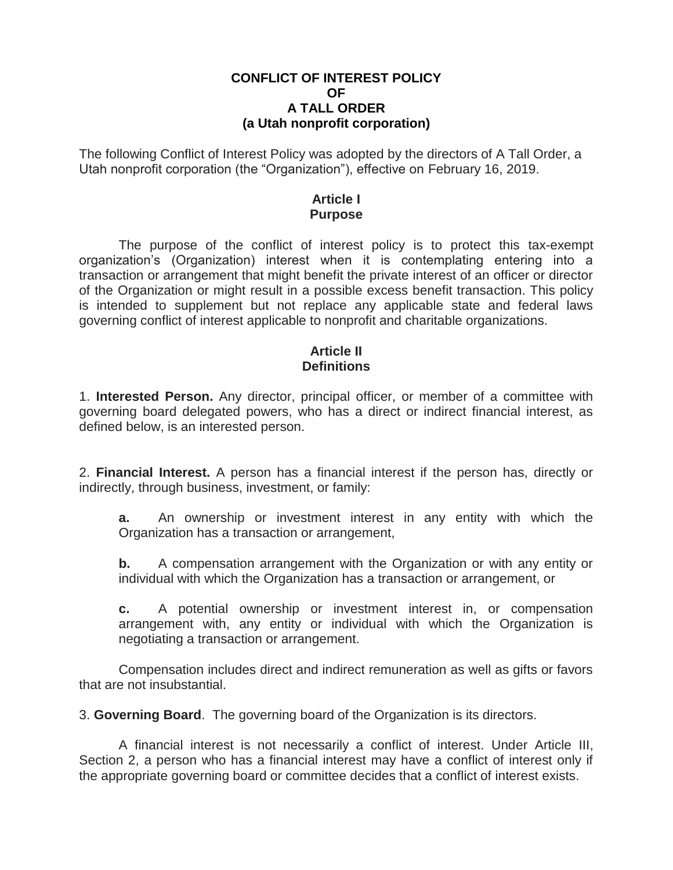#### **CONFLICT OF INTEREST POLICY OF A TALL ORDER (a Utah nonprofit corporation)**

The following Conflict of Interest Policy was adopted by the directors of A Tall Order, a Utah nonprofit corporation (the "Organization"), effective on February 16, 2019.

#### **Article I Purpose**

The purpose of the conflict of interest policy is to protect this tax-exempt organization's (Organization) interest when it is contemplating entering into a transaction or arrangement that might benefit the private interest of an officer or director of the Organization or might result in a possible excess benefit transaction. This policy is intended to supplement but not replace any applicable state and federal laws governing conflict of interest applicable to nonprofit and charitable organizations.

## **Article II Definitions**

1. **Interested Person.** Any director, principal officer, or member of a committee with governing board delegated powers, who has a direct or indirect financial interest, as defined below, is an interested person.

2. **Financial Interest.** A person has a financial interest if the person has, directly or indirectly, through business, investment, or family:

**a.** An ownership or investment interest in any entity with which the Organization has a transaction or arrangement,

**b.** A compensation arrangement with the Organization or with any entity or individual with which the Organization has a transaction or arrangement, or

**c.** A potential ownership or investment interest in, or compensation arrangement with, any entity or individual with which the Organization is negotiating a transaction or arrangement.

Compensation includes direct and indirect remuneration as well as gifts or favors that are not insubstantial.

3. **Governing Board**. The governing board of the Organization is its directors.

A financial interest is not necessarily a conflict of interest. Under Article III, Section 2, a person who has a financial interest may have a conflict of interest only if the appropriate governing board or committee decides that a conflict of interest exists.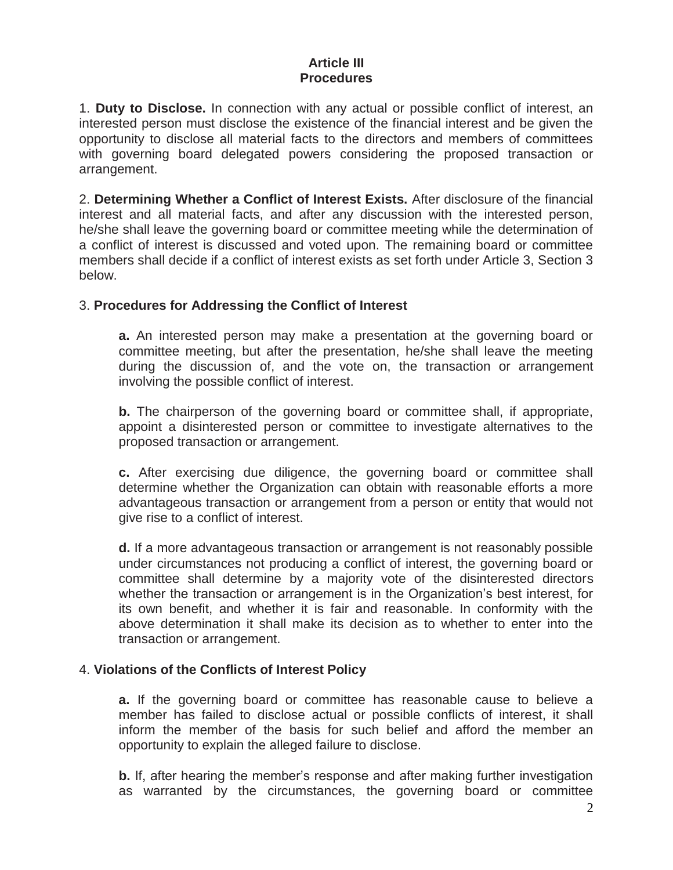# **Article III Procedures**

1. **Duty to Disclose.** In connection with any actual or possible conflict of interest, an interested person must disclose the existence of the financial interest and be given the opportunity to disclose all material facts to the directors and members of committees with governing board delegated powers considering the proposed transaction or arrangement.

2. **Determining Whether a Conflict of Interest Exists.** After disclosure of the financial interest and all material facts, and after any discussion with the interested person, he/she shall leave the governing board or committee meeting while the determination of a conflict of interest is discussed and voted upon. The remaining board or committee members shall decide if a conflict of interest exists as set forth under Article 3, Section 3 below.

# 3. **Procedures for Addressing the Conflict of Interest**

**a.** An interested person may make a presentation at the governing board or committee meeting, but after the presentation, he/she shall leave the meeting during the discussion of, and the vote on, the transaction or arrangement involving the possible conflict of interest.

**b.** The chairperson of the governing board or committee shall, if appropriate, appoint a disinterested person or committee to investigate alternatives to the proposed transaction or arrangement.

**c.** After exercising due diligence, the governing board or committee shall determine whether the Organization can obtain with reasonable efforts a more advantageous transaction or arrangement from a person or entity that would not give rise to a conflict of interest.

**d.** If a more advantageous transaction or arrangement is not reasonably possible under circumstances not producing a conflict of interest, the governing board or committee shall determine by a majority vote of the disinterested directors whether the transaction or arrangement is in the Organization's best interest, for its own benefit, and whether it is fair and reasonable. In conformity with the above determination it shall make its decision as to whether to enter into the transaction or arrangement.

## 4. **Violations of the Conflicts of Interest Policy**

**a.** If the governing board or committee has reasonable cause to believe a member has failed to disclose actual or possible conflicts of interest, it shall inform the member of the basis for such belief and afford the member an opportunity to explain the alleged failure to disclose.

**b.** If, after hearing the member's response and after making further investigation as warranted by the circumstances, the governing board or committee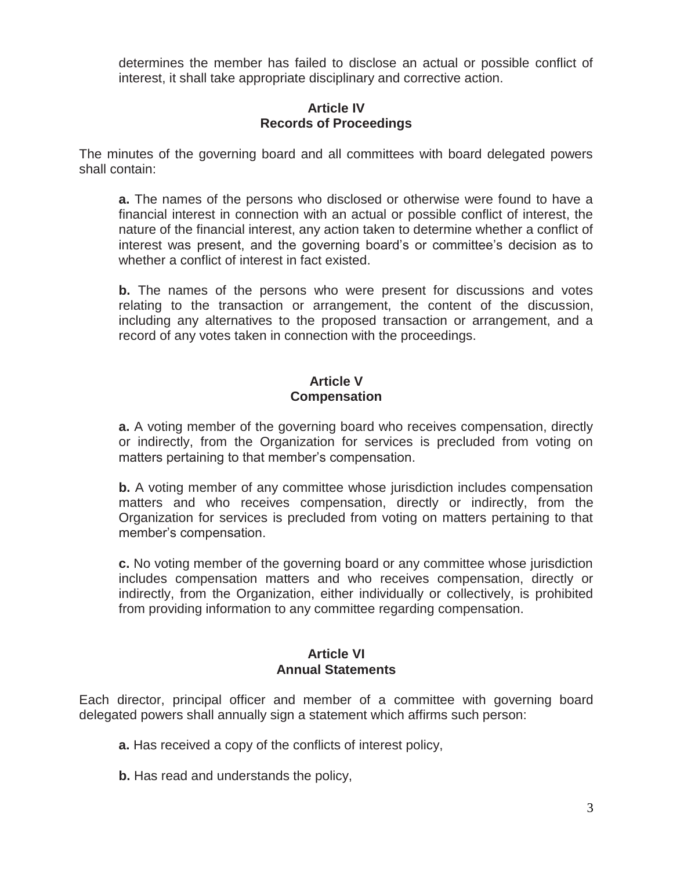determines the member has failed to disclose an actual or possible conflict of interest, it shall take appropriate disciplinary and corrective action.

## **Article IV Records of Proceedings**

The minutes of the governing board and all committees with board delegated powers shall contain:

**a.** The names of the persons who disclosed or otherwise were found to have a financial interest in connection with an actual or possible conflict of interest, the nature of the financial interest, any action taken to determine whether a conflict of interest was present, and the governing board's or committee's decision as to whether a conflict of interest in fact existed.

**b.** The names of the persons who were present for discussions and votes relating to the transaction or arrangement, the content of the discussion, including any alternatives to the proposed transaction or arrangement, and a record of any votes taken in connection with the proceedings.

# **Article V Compensation**

**a.** A voting member of the governing board who receives compensation, directly or indirectly, from the Organization for services is precluded from voting on matters pertaining to that member's compensation.

**b.** A voting member of any committee whose jurisdiction includes compensation matters and who receives compensation, directly or indirectly, from the Organization for services is precluded from voting on matters pertaining to that member's compensation.

**c.** No voting member of the governing board or any committee whose jurisdiction includes compensation matters and who receives compensation, directly or indirectly, from the Organization, either individually or collectively, is prohibited from providing information to any committee regarding compensation.

## **Article VI Annual Statements**

Each director, principal officer and member of a committee with governing board delegated powers shall annually sign a statement which affirms such person:

- **a.** Has received a copy of the conflicts of interest policy,
- **b.** Has read and understands the policy,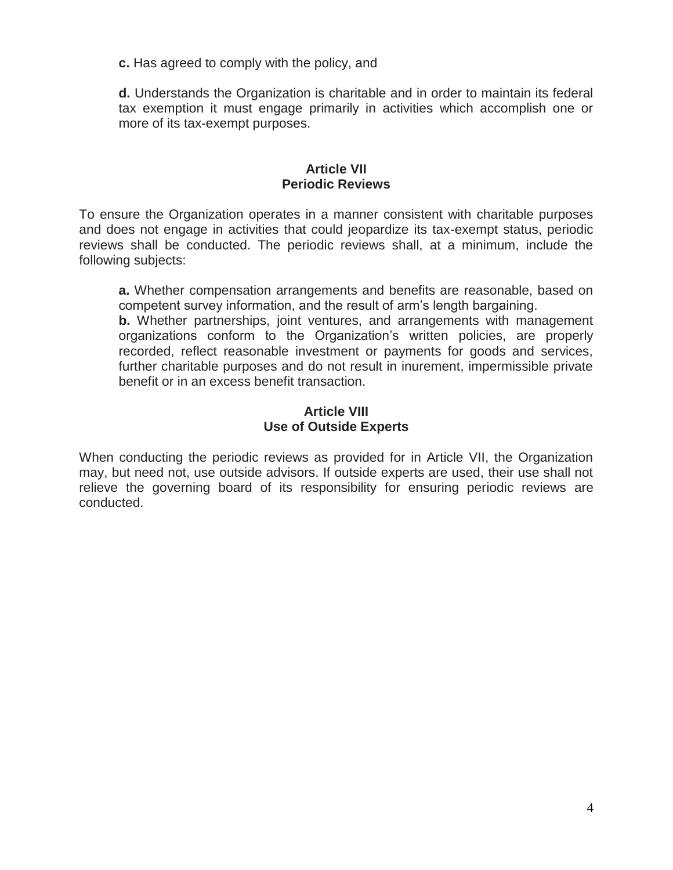**c.** Has agreed to comply with the policy, and

**d.** Understands the Organization is charitable and in order to maintain its federal tax exemption it must engage primarily in activities which accomplish one or more of its tax-exempt purposes.

#### **Article VII Periodic Reviews**

To ensure the Organization operates in a manner consistent with charitable purposes and does not engage in activities that could jeopardize its tax-exempt status, periodic reviews shall be conducted. The periodic reviews shall, at a minimum, include the following subjects:

**a.** Whether compensation arrangements and benefits are reasonable, based on competent survey information, and the result of arm's length bargaining.

**b.** Whether partnerships, joint ventures, and arrangements with management organizations conform to the Organization's written policies, are properly recorded, reflect reasonable investment or payments for goods and services, further charitable purposes and do not result in inurement, impermissible private benefit or in an excess benefit transaction.

# **Article VIII Use of Outside Experts**

When conducting the periodic reviews as provided for in Article VII, the Organization may, but need not, use outside advisors. If outside experts are used, their use shall not relieve the governing board of its responsibility for ensuring periodic reviews are conducted.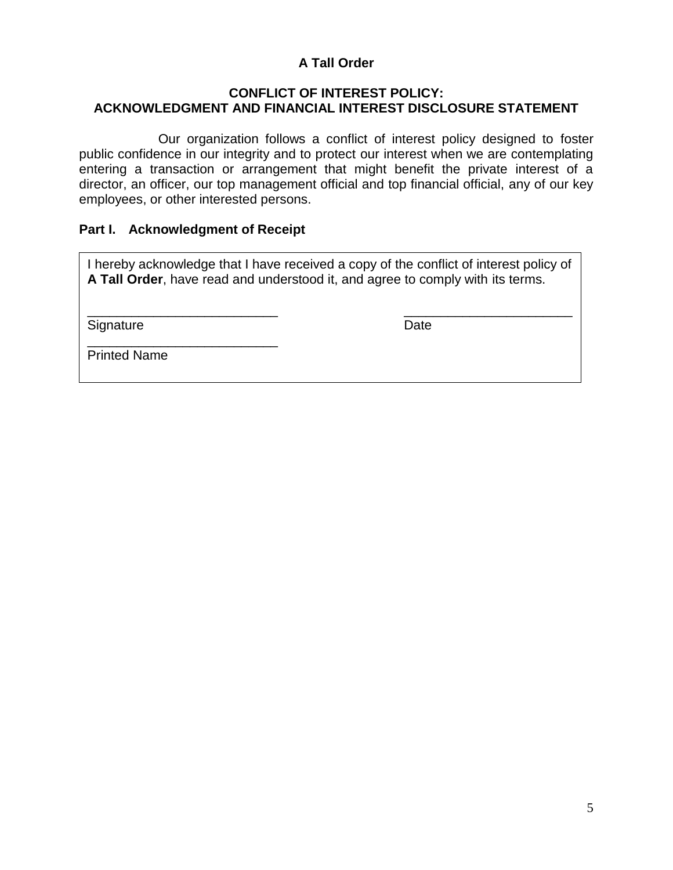# **A Tall Order**

## **CONFLICT OF INTEREST POLICY: ACKNOWLEDGMENT AND FINANCIAL INTEREST DISCLOSURE STATEMENT**

Our organization follows a conflict of interest policy designed to foster public confidence in our integrity and to protect our interest when we are contemplating entering a transaction or arrangement that might benefit the private interest of a director, an officer, our top management official and top financial official, any of our key employees, or other interested persons.

## **Part I. Acknowledgment of Receipt**

\_\_\_\_\_\_\_\_\_\_\_\_\_\_\_\_\_\_\_\_\_\_\_\_\_\_

I hereby acknowledge that I have received a copy of the conflict of interest policy of **A Tall Order**, have read and understood it, and agree to comply with its terms.

\_\_\_\_\_\_\_\_\_\_\_\_\_\_\_\_\_\_\_\_\_\_\_\_\_\_ \_\_\_\_\_\_\_\_\_\_\_\_\_\_\_\_\_\_\_\_\_\_\_

Signature Date **Date** 

Printed Name